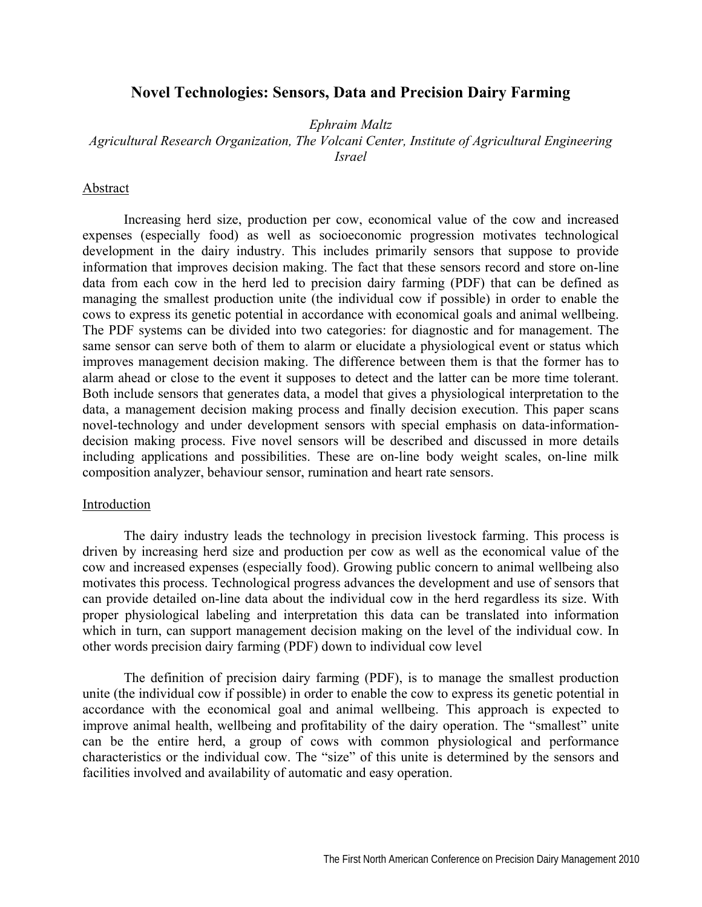# **Novel Technologies: Sensors, Data and Precision Dairy Farming**

*Ephraim Maltz* 

*Agricultural Research Organization, The Volcani Center, Institute of Agricultural Engineering Israel* 

## Abstract

Increasing herd size, production per cow, economical value of the cow and increased expenses (especially food) as well as socioeconomic progression motivates technological development in the dairy industry. This includes primarily sensors that suppose to provide information that improves decision making. The fact that these sensors record and store on-line data from each cow in the herd led to precision dairy farming (PDF) that can be defined as managing the smallest production unite (the individual cow if possible) in order to enable the cows to express its genetic potential in accordance with economical goals and animal wellbeing. The PDF systems can be divided into two categories: for diagnostic and for management. The same sensor can serve both of them to alarm or elucidate a physiological event or status which improves management decision making. The difference between them is that the former has to alarm ahead or close to the event it supposes to detect and the latter can be more time tolerant. Both include sensors that generates data, a model that gives a physiological interpretation to the data, a management decision making process and finally decision execution. This paper scans novel-technology and under development sensors with special emphasis on data-informationdecision making process. Five novel sensors will be described and discussed in more details including applications and possibilities. These are on-line body weight scales, on-line milk composition analyzer, behaviour sensor, rumination and heart rate sensors.

### Introduction

The dairy industry leads the technology in precision livestock farming. This process is driven by increasing herd size and production per cow as well as the economical value of the cow and increased expenses (especially food). Growing public concern to animal wellbeing also motivates this process. Technological progress advances the development and use of sensors that can provide detailed on-line data about the individual cow in the herd regardless its size. With proper physiological labeling and interpretation this data can be translated into information which in turn, can support management decision making on the level of the individual cow. In other words precision dairy farming (PDF) down to individual cow level

The definition of precision dairy farming (PDF), is to manage the smallest production unite (the individual cow if possible) in order to enable the cow to express its genetic potential in accordance with the economical goal and animal wellbeing. This approach is expected to improve animal health, wellbeing and profitability of the dairy operation. The "smallest" unite can be the entire herd, a group of cows with common physiological and performance characteristics or the individual cow. The "size" of this unite is determined by the sensors and facilities involved and availability of automatic and easy operation.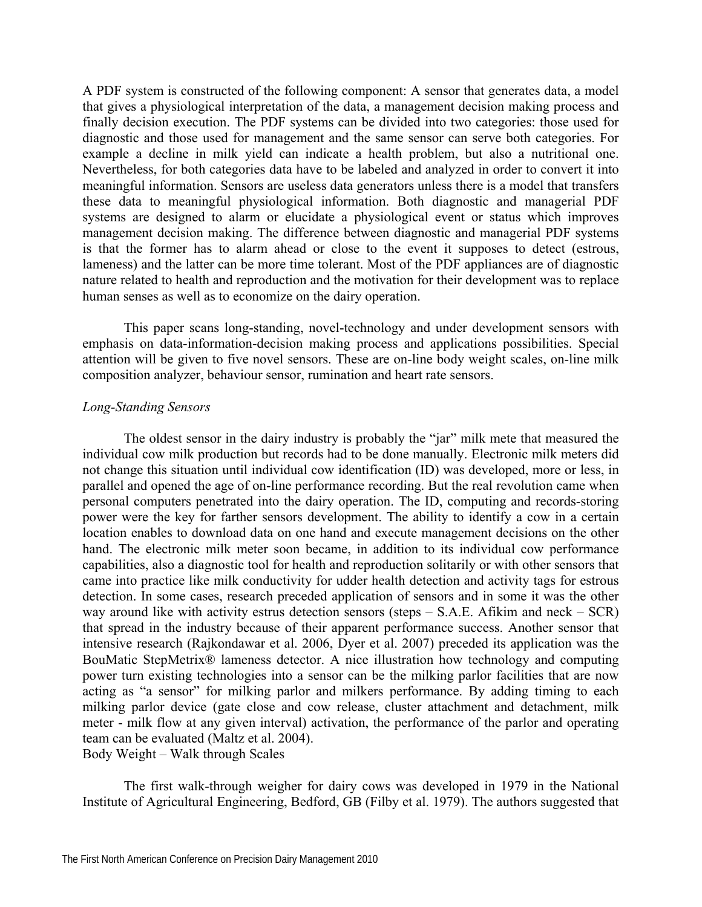A PDF system is constructed of the following component: A sensor that generates data, a model that gives a physiological interpretation of the data, a management decision making process and finally decision execution. The PDF systems can be divided into two categories: those used for diagnostic and those used for management and the same sensor can serve both categories. For example a decline in milk yield can indicate a health problem, but also a nutritional one. Nevertheless, for both categories data have to be labeled and analyzed in order to convert it into meaningful information. Sensors are useless data generators unless there is a model that transfers these data to meaningful physiological information. Both diagnostic and managerial PDF systems are designed to alarm or elucidate a physiological event or status which improves management decision making. The difference between diagnostic and managerial PDF systems is that the former has to alarm ahead or close to the event it supposes to detect (estrous, lameness) and the latter can be more time tolerant. Most of the PDF appliances are of diagnostic nature related to health and reproduction and the motivation for their development was to replace human senses as well as to economize on the dairy operation.

This paper scans long-standing, novel-technology and under development sensors with emphasis on data-information-decision making process and applications possibilities. Special attention will be given to five novel sensors. These are on-line body weight scales, on-line milk composition analyzer, behaviour sensor, rumination and heart rate sensors.

## *Long-Standing Sensors*

The oldest sensor in the dairy industry is probably the "jar" milk mete that measured the individual cow milk production but records had to be done manually. Electronic milk meters did not change this situation until individual cow identification (ID) was developed, more or less, in parallel and opened the age of on-line performance recording. But the real revolution came when personal computers penetrated into the dairy operation. The ID, computing and records-storing power were the key for farther sensors development. The ability to identify a cow in a certain location enables to download data on one hand and execute management decisions on the other hand. The electronic milk meter soon became, in addition to its individual cow performance capabilities, also a diagnostic tool for health and reproduction solitarily or with other sensors that came into practice like milk conductivity for udder health detection and activity tags for estrous detection. In some cases, research preceded application of sensors and in some it was the other way around like with activity estrus detection sensors (steps – S.A.E. Afikim and neck – SCR) that spread in the industry because of their apparent performance success. Another sensor that intensive research (Rajkondawar et al. 2006, Dyer et al. 2007) preceded its application was the BouMatic StepMetrix® lameness detector. A nice illustration how technology and computing power turn existing technologies into a sensor can be the milking parlor facilities that are now acting as "a sensor" for milking parlor and milkers performance. By adding timing to each milking parlor device (gate close and cow release, cluster attachment and detachment, milk meter - milk flow at any given interval) activation, the performance of the parlor and operating team can be evaluated (Maltz et al. 2004). Body Weight – Walk through Scales

The first walk-through weigher for dairy cows was developed in 1979 in the National Institute of Agricultural Engineering, Bedford, GB (Filby et al. 1979). The authors suggested that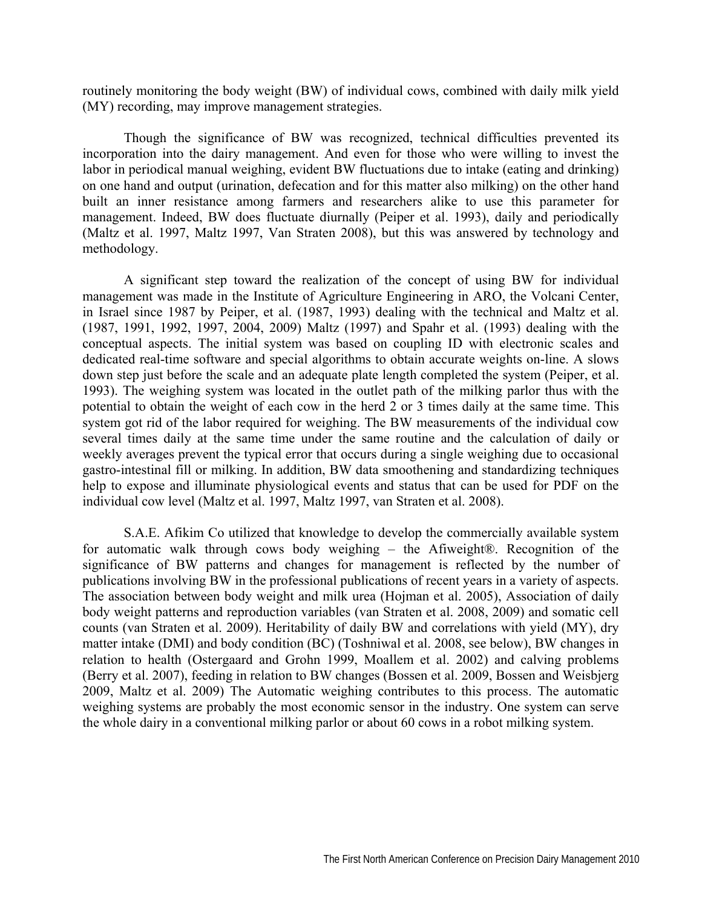routinely monitoring the body weight (BW) of individual cows, combined with daily milk yield (MY) recording, may improve management strategies.

Though the significance of BW was recognized, technical difficulties prevented its incorporation into the dairy management. And even for those who were willing to invest the labor in periodical manual weighing, evident BW fluctuations due to intake (eating and drinking) on one hand and output (urination, defecation and for this matter also milking) on the other hand built an inner resistance among farmers and researchers alike to use this parameter for management. Indeed, BW does fluctuate diurnally (Peiper et al. 1993), daily and periodically (Maltz et al. 1997, Maltz 1997, Van Straten 2008), but this was answered by technology and methodology.

A significant step toward the realization of the concept of using BW for individual management was made in the Institute of Agriculture Engineering in ARO, the Volcani Center, in Israel since 1987 by Peiper, et al. (1987, 1993) dealing with the technical and Maltz et al. (1987, 1991, 1992, 1997, 2004, 2009) Maltz (1997) and Spahr et al. (1993) dealing with the conceptual aspects. The initial system was based on coupling ID with electronic scales and dedicated real-time software and special algorithms to obtain accurate weights on-line. A slows down step just before the scale and an adequate plate length completed the system (Peiper, et al. 1993). The weighing system was located in the outlet path of the milking parlor thus with the potential to obtain the weight of each cow in the herd 2 or 3 times daily at the same time. This system got rid of the labor required for weighing. The BW measurements of the individual cow several times daily at the same time under the same routine and the calculation of daily or weekly averages prevent the typical error that occurs during a single weighing due to occasional gastro-intestinal fill or milking. In addition, BW data smoothening and standardizing techniques help to expose and illuminate physiological events and status that can be used for PDF on the individual cow level (Maltz et al. 1997, Maltz 1997, van Straten et al. 2008).

S.A.E. Afikim Co utilized that knowledge to develop the commercially available system for automatic walk through cows body weighing – the Afiweight®. Recognition of the significance of BW patterns and changes for management is reflected by the number of publications involving BW in the professional publications of recent years in a variety of aspects. The association between body weight and milk urea (Hojman et al. 2005), Association of daily body weight patterns and reproduction variables (van Straten et al. 2008, 2009) and somatic cell counts (van Straten et al. 2009). Heritability of daily BW and correlations with yield (MY), dry matter intake (DMI) and body condition (BC) (Toshniwal et al. 2008, see below), BW changes in relation to health (Ostergaard and Grohn 1999, Moallem et al. 2002) and calving problems (Berry et al. 2007), feeding in relation to BW changes (Bossen et al. 2009, Bossen and Weisbjerg 2009, Maltz et al. 2009) The Automatic weighing contributes to this process. The automatic weighing systems are probably the most economic sensor in the industry. One system can serve the whole dairy in a conventional milking parlor or about 60 cows in a robot milking system.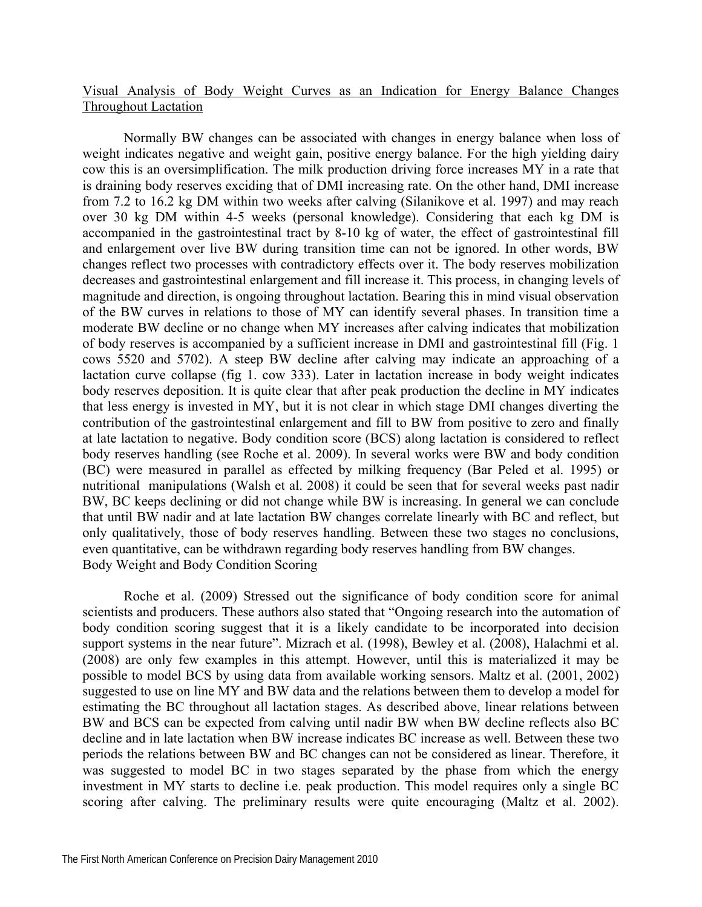## Visual Analysis of Body Weight Curves as an Indication for Energy Balance Changes Throughout Lactation

Normally BW changes can be associated with changes in energy balance when loss of weight indicates negative and weight gain, positive energy balance. For the high yielding dairy cow this is an oversimplification. The milk production driving force increases MY in a rate that is draining body reserves exciding that of DMI increasing rate. On the other hand, DMI increase from 7.2 to 16.2 kg DM within two weeks after calving (Silanikove et al. 1997) and may reach over 30 kg DM within 4-5 weeks (personal knowledge). Considering that each kg DM is accompanied in the gastrointestinal tract by 8-10 kg of water, the effect of gastrointestinal fill and enlargement over live BW during transition time can not be ignored. In other words, BW changes reflect two processes with contradictory effects over it. The body reserves mobilization decreases and gastrointestinal enlargement and fill increase it. This process, in changing levels of magnitude and direction, is ongoing throughout lactation. Bearing this in mind visual observation of the BW curves in relations to those of MY can identify several phases. In transition time a moderate BW decline or no change when MY increases after calving indicates that mobilization of body reserves is accompanied by a sufficient increase in DMI and gastrointestinal fill (Fig. 1 cows 5520 and 5702). A steep BW decline after calving may indicate an approaching of a lactation curve collapse (fig 1. cow 333). Later in lactation increase in body weight indicates body reserves deposition. It is quite clear that after peak production the decline in MY indicates that less energy is invested in MY, but it is not clear in which stage DMI changes diverting the contribution of the gastrointestinal enlargement and fill to BW from positive to zero and finally at late lactation to negative. Body condition score (BCS) along lactation is considered to reflect body reserves handling (see Roche et al. 2009). In several works were BW and body condition (BC) were measured in parallel as effected by milking frequency (Bar Peled et al. 1995) or nutritional manipulations (Walsh et al. 2008) it could be seen that for several weeks past nadir BW, BC keeps declining or did not change while BW is increasing. In general we can conclude that until BW nadir and at late lactation BW changes correlate linearly with BC and reflect, but only qualitatively, those of body reserves handling. Between these two stages no conclusions, even quantitative, can be withdrawn regarding body reserves handling from BW changes. Body Weight and Body Condition Scoring

Roche et al. (2009) Stressed out the significance of body condition score for animal scientists and producers. These authors also stated that "Ongoing research into the automation of body condition scoring suggest that it is a likely candidate to be incorporated into decision support systems in the near future". Mizrach et al. (1998), Bewley et al. (2008), Halachmi et al. (2008) are only few examples in this attempt. However, until this is materialized it may be possible to model BCS by using data from available working sensors. Maltz et al. (2001, 2002) suggested to use on line MY and BW data and the relations between them to develop a model for estimating the BC throughout all lactation stages. As described above, linear relations between BW and BCS can be expected from calving until nadir BW when BW decline reflects also BC decline and in late lactation when BW increase indicates BC increase as well. Between these two periods the relations between BW and BC changes can not be considered as linear. Therefore, it was suggested to model BC in two stages separated by the phase from which the energy investment in MY starts to decline i.e. peak production. This model requires only a single BC scoring after calving. The preliminary results were quite encouraging (Maltz et al. 2002).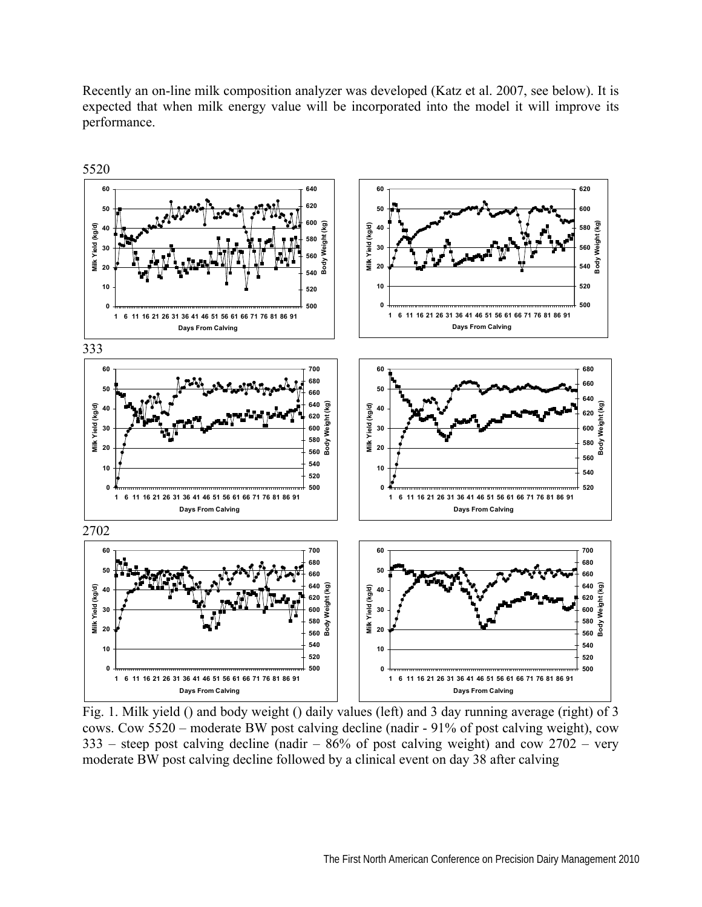Recently an on-line milk composition analyzer was developed (Katz et al. 2007, see below). It is expected that when milk energy value will be incorporated into the model it will improve its performance.



Fig. 1. Milk yield () and body weight () daily values (left) and 3 day running average (right) of 3 cows. Cow 5520 – moderate BW post calving decline (nadir - 91% of post calving weight), cow – steep post calving decline (nadir –  $86\%$  of post calving weight) and cow  $2702$  – very moderate BW post calving decline followed by a clinical event on day 38 after calving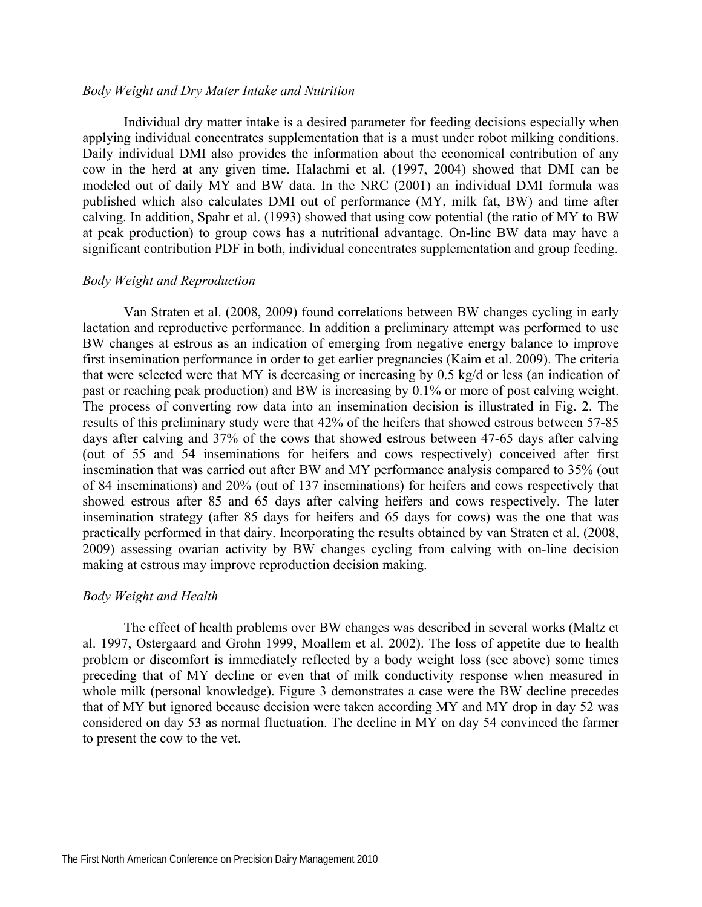### *Body Weight and Dry Mater Intake and Nutrition*

Individual dry matter intake is a desired parameter for feeding decisions especially when applying individual concentrates supplementation that is a must under robot milking conditions. Daily individual DMI also provides the information about the economical contribution of any cow in the herd at any given time. Halachmi et al. (1997, 2004) showed that DMI can be modeled out of daily MY and BW data. In the NRC (2001) an individual DMI formula was published which also calculates DMI out of performance (MY, milk fat, BW) and time after calving. In addition, Spahr et al. (1993) showed that using cow potential (the ratio of MY to BW at peak production) to group cows has a nutritional advantage. On-line BW data may have a significant contribution PDF in both, individual concentrates supplementation and group feeding.

## *Body Weight and Reproduction*

Van Straten et al. (2008, 2009) found correlations between BW changes cycling in early lactation and reproductive performance. In addition a preliminary attempt was performed to use BW changes at estrous as an indication of emerging from negative energy balance to improve first insemination performance in order to get earlier pregnancies (Kaim et al. 2009). The criteria that were selected were that MY is decreasing or increasing by 0.5 kg/d or less (an indication of past or reaching peak production) and BW is increasing by 0.1% or more of post calving weight. The process of converting row data into an insemination decision is illustrated in Fig. 2. The results of this preliminary study were that 42% of the heifers that showed estrous between 57-85 days after calving and 37% of the cows that showed estrous between 47-65 days after calving (out of 55 and 54 inseminations for heifers and cows respectively) conceived after first insemination that was carried out after BW and MY performance analysis compared to 35% (out of 84 inseminations) and 20% (out of 137 inseminations) for heifers and cows respectively that showed estrous after 85 and 65 days after calving heifers and cows respectively. The later insemination strategy (after 85 days for heifers and 65 days for cows) was the one that was practically performed in that dairy. Incorporating the results obtained by van Straten et al. (2008, 2009) assessing ovarian activity by BW changes cycling from calving with on-line decision making at estrous may improve reproduction decision making.

#### *Body Weight and Health*

The effect of health problems over BW changes was described in several works (Maltz et al. 1997, Ostergaard and Grohn 1999, Moallem et al. 2002). The loss of appetite due to health problem or discomfort is immediately reflected by a body weight loss (see above) some times preceding that of MY decline or even that of milk conductivity response when measured in whole milk (personal knowledge). Figure 3 demonstrates a case were the BW decline precedes that of MY but ignored because decision were taken according MY and MY drop in day 52 was considered on day 53 as normal fluctuation. The decline in MY on day 54 convinced the farmer to present the cow to the vet.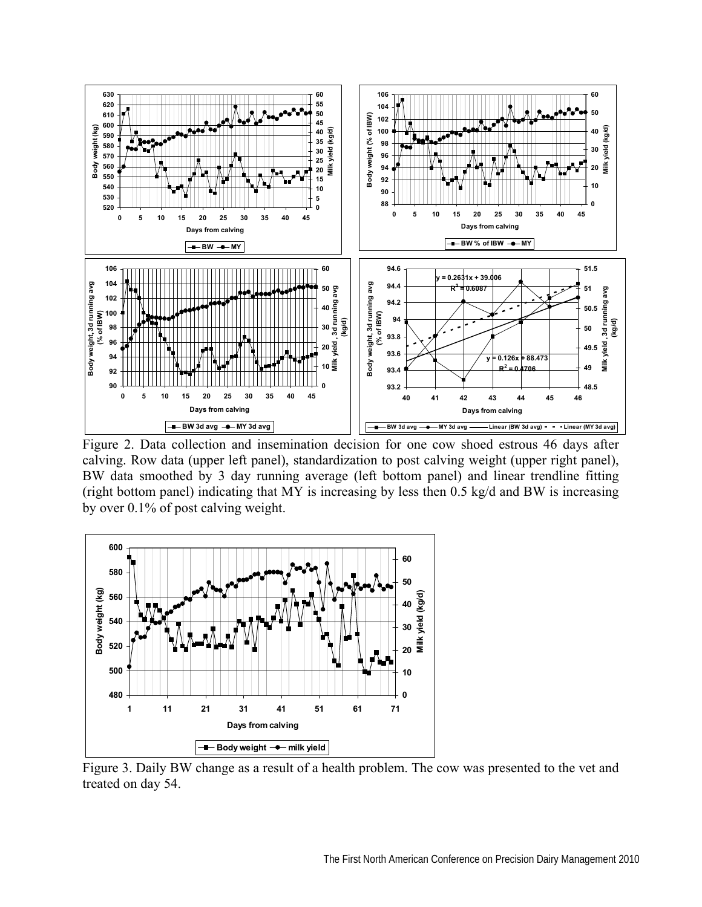

Figure 2. Data collection and insemination decision for one cow shoed estrous 46 days after calving. Row data (upper left panel), standardization to post calving weight (upper right panel), BW data smoothed by 3 day running average (left bottom panel) and linear trendline fitting (right bottom panel) indicating that MY is increasing by less then 0.5 kg/d and BW is increasing by over 0.1% of post calving weight.



Figure 3. Daily BW change as a result of a health problem. The cow was presented to the vet and treated on day 54.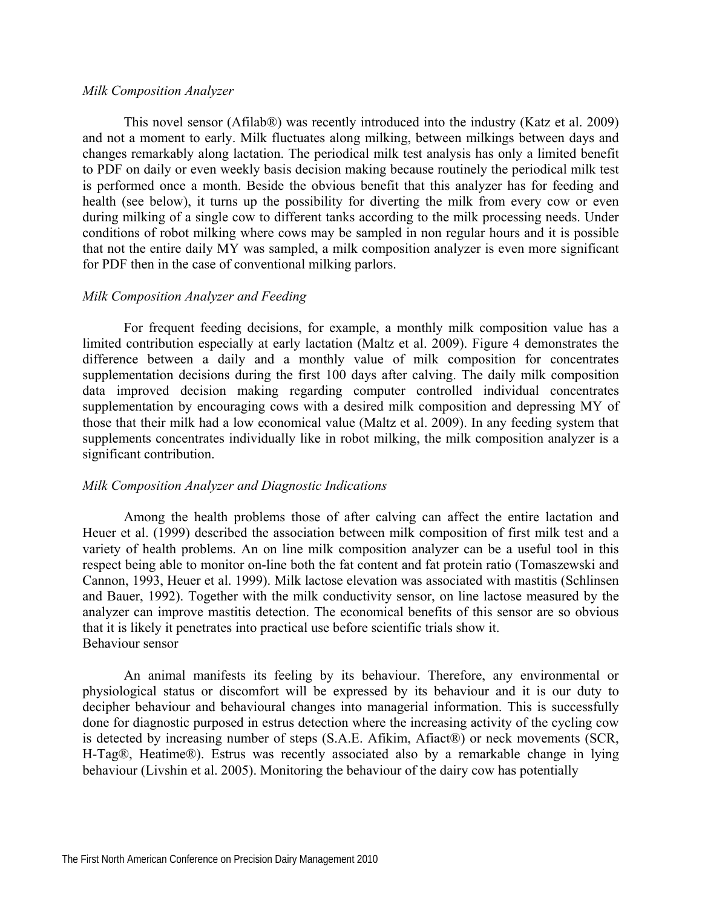### *Milk Composition Analyzer*

This novel sensor (Afilab®) was recently introduced into the industry (Katz et al. 2009) and not a moment to early. Milk fluctuates along milking, between milkings between days and changes remarkably along lactation. The periodical milk test analysis has only a limited benefit to PDF on daily or even weekly basis decision making because routinely the periodical milk test is performed once a month. Beside the obvious benefit that this analyzer has for feeding and health (see below), it turns up the possibility for diverting the milk from every cow or even during milking of a single cow to different tanks according to the milk processing needs. Under conditions of robot milking where cows may be sampled in non regular hours and it is possible that not the entire daily MY was sampled, a milk composition analyzer is even more significant for PDF then in the case of conventional milking parlors.

### *Milk Composition Analyzer and Feeding*

For frequent feeding decisions, for example, a monthly milk composition value has a limited contribution especially at early lactation (Maltz et al. 2009). Figure 4 demonstrates the difference between a daily and a monthly value of milk composition for concentrates supplementation decisions during the first 100 days after calving. The daily milk composition data improved decision making regarding computer controlled individual concentrates supplementation by encouraging cows with a desired milk composition and depressing MY of those that their milk had a low economical value (Maltz et al. 2009). In any feeding system that supplements concentrates individually like in robot milking, the milk composition analyzer is a significant contribution.

### *Milk Composition Analyzer and Diagnostic Indications*

Among the health problems those of after calving can affect the entire lactation and Heuer et al. (1999) described the association between milk composition of first milk test and a variety of health problems. An on line milk composition analyzer can be a useful tool in this respect being able to monitor on-line both the fat content and fat protein ratio (Tomaszewski and Cannon, 1993, Heuer et al. 1999). Milk lactose elevation was associated with mastitis (Schlinsen and Bauer, 1992). Together with the milk conductivity sensor, on line lactose measured by the analyzer can improve mastitis detection. The economical benefits of this sensor are so obvious that it is likely it penetrates into practical use before scientific trials show it. Behaviour sensor

An animal manifests its feeling by its behaviour. Therefore, any environmental or physiological status or discomfort will be expressed by its behaviour and it is our duty to decipher behaviour and behavioural changes into managerial information. This is successfully done for diagnostic purposed in estrus detection where the increasing activity of the cycling cow is detected by increasing number of steps (S.A.E. Afikim, Afiact®) or neck movements (SCR, H-Tag®, Heatime®). Estrus was recently associated also by a remarkable change in lying behaviour (Livshin et al. 2005). Monitoring the behaviour of the dairy cow has potentially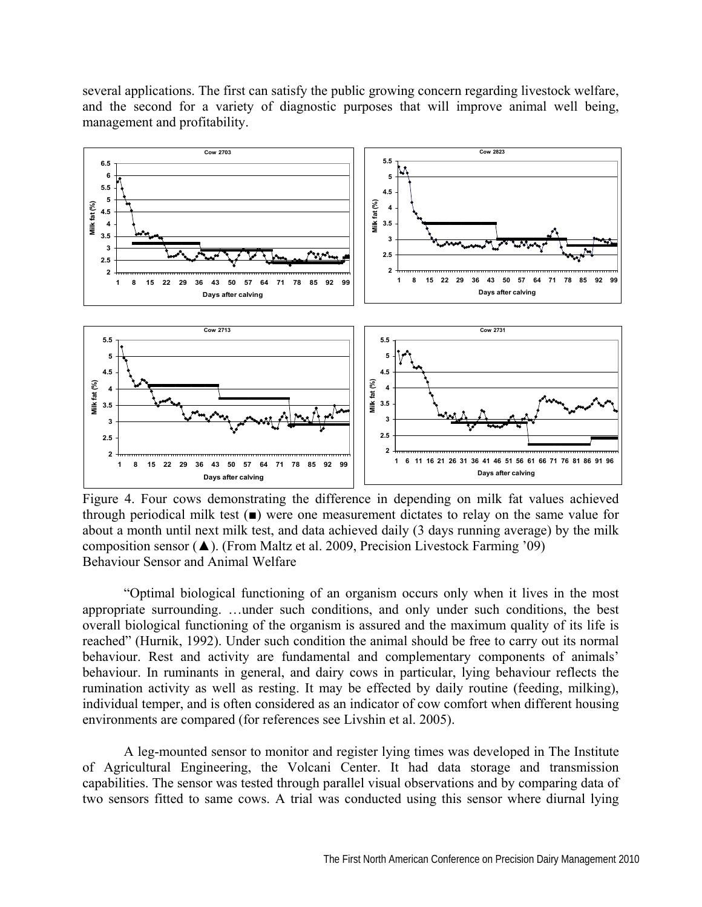

several applications. The first can satisfy the public growing concern regarding livestock welfare, and the second for a variety of diagnostic purposes that will improve animal well being, management and profitability.

Figure 4. Four cows demonstrating the difference in depending on milk fat values achieved through periodical milk test (■) were one measurement dictates to relay on the same value for about a month until next milk test, and data achieved daily (3 days running average) by the milk composition sensor (▲). (From Maltz et al. 2009, Precision Livestock Farming '09) Behaviour Sensor and Animal Welfare

"Optimal biological functioning of an organism occurs only when it lives in the most appropriate surrounding. …under such conditions, and only under such conditions, the best overall biological functioning of the organism is assured and the maximum quality of its life is reached" (Hurnik, 1992). Under such condition the animal should be free to carry out its normal behaviour. Rest and activity are fundamental and complementary components of animals' behaviour. In ruminants in general, and dairy cows in particular, lying behaviour reflects the rumination activity as well as resting. It may be effected by daily routine (feeding, milking), individual temper, and is often considered as an indicator of cow comfort when different housing environments are compared (for references see Livshin et al. 2005).

A leg-mounted sensor to monitor and register lying times was developed in The Institute of Agricultural Engineering, the Volcani Center. It had data storage and transmission capabilities. The sensor was tested through parallel visual observations and by comparing data of two sensors fitted to same cows. A trial was conducted using this sensor where diurnal lying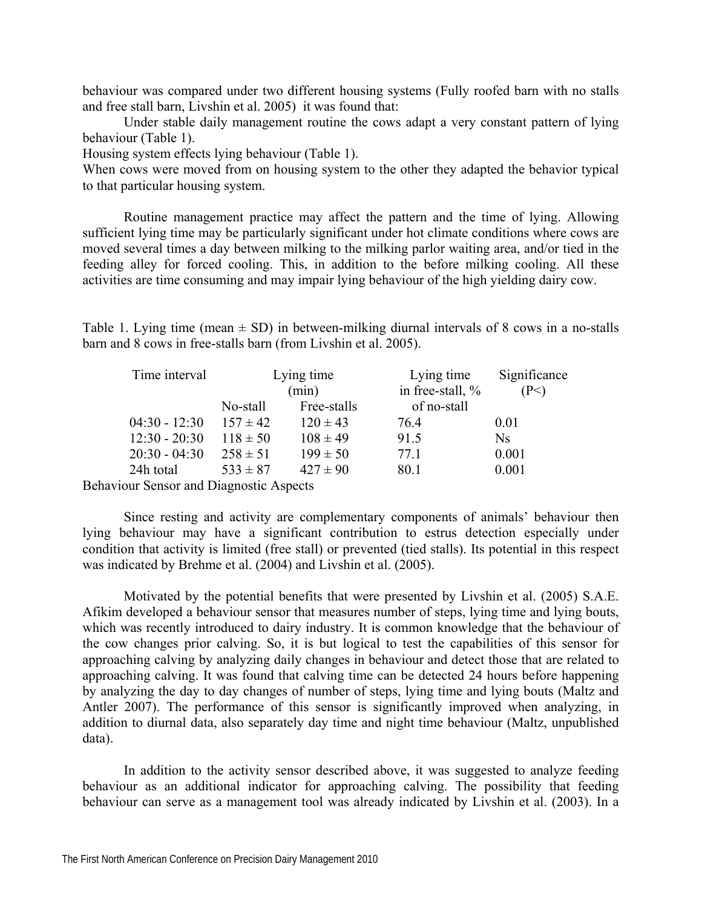behaviour was compared under two different housing systems (Fully roofed barn with no stalls and free stall barn, Livshin et al. 2005) it was found that:

Under stable daily management routine the cows adapt a very constant pattern of lying behaviour (Table 1).

Housing system effects lying behaviour (Table 1).

When cows were moved from on housing system to the other they adapted the behavior typical to that particular housing system.

Routine management practice may affect the pattern and the time of lying. Allowing sufficient lying time may be particularly significant under hot climate conditions where cows are moved several times a day between milking to the milking parlor waiting area, and/or tied in the feeding alley for forced cooling. This, in addition to the before milking cooling. All these activities are time consuming and may impair lying behaviour of the high yielding dairy cow.

Table 1. Lying time (mean  $\pm$  SD) in between-milking diurnal intervals of 8 cows in a no-stalls barn and 8 cows in free-stalls barn (from Livshin et al. 2005).

| Time interval                          | Lying time   |              | Lying time       | Significance |
|----------------------------------------|--------------|--------------|------------------|--------------|
|                                        | (min)        |              | in free-stall, % | (P<)         |
|                                        | No-stall     | Free-stalls  | of no-stall      |              |
| $04:30 - 12:30$                        | $157 \pm 42$ | $120 \pm 43$ | 764              | 0.01         |
| $12:30 - 20:30$                        | $118 \pm 50$ | $108 \pm 49$ | 91.5             | Ns           |
| $20:30 - 04:30$                        | $258 \pm 51$ | $199 \pm 50$ | 77.1             | 0.001        |
| 24h total                              | $533 \pm 87$ | $427 \pm 90$ | 80.1             | 0.001        |
| $\blacksquare$<br>$\sim$ $\sim$ $\sim$ |              |              |                  |              |

Behaviour Sensor and Diagnostic Aspects

Since resting and activity are complementary components of animals' behaviour then lying behaviour may have a significant contribution to estrus detection especially under condition that activity is limited (free stall) or prevented (tied stalls). Its potential in this respect was indicated by Brehme et al. (2004) and Livshin et al. (2005).

Motivated by the potential benefits that were presented by Livshin et al. (2005) S.A.E. Afikim developed a behaviour sensor that measures number of steps, lying time and lying bouts, which was recently introduced to dairy industry. It is common knowledge that the behaviour of the cow changes prior calving. So, it is but logical to test the capabilities of this sensor for approaching calving by analyzing daily changes in behaviour and detect those that are related to approaching calving. It was found that calving time can be detected 24 hours before happening by analyzing the day to day changes of number of steps, lying time and lying bouts (Maltz and Antler 2007). The performance of this sensor is significantly improved when analyzing, in addition to diurnal data, also separately day time and night time behaviour (Maltz, unpublished data).

In addition to the activity sensor described above, it was suggested to analyze feeding behaviour as an additional indicator for approaching calving. The possibility that feeding behaviour can serve as a management tool was already indicated by Livshin et al. (2003). In a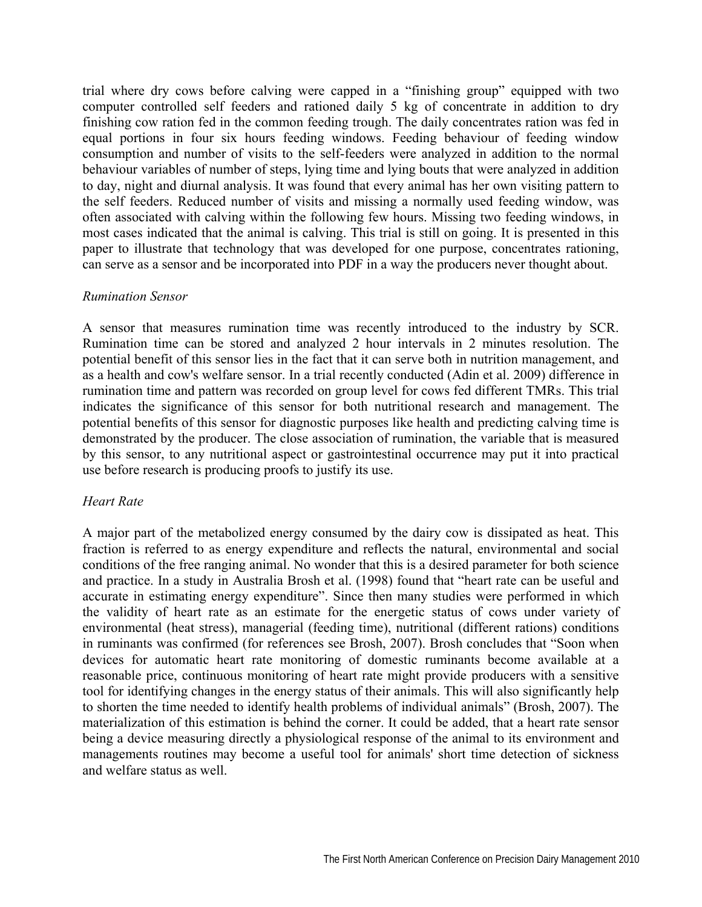trial where dry cows before calving were capped in a "finishing group" equipped with two computer controlled self feeders and rationed daily 5 kg of concentrate in addition to dry finishing cow ration fed in the common feeding trough. The daily concentrates ration was fed in equal portions in four six hours feeding windows. Feeding behaviour of feeding window consumption and number of visits to the self-feeders were analyzed in addition to the normal behaviour variables of number of steps, lying time and lying bouts that were analyzed in addition to day, night and diurnal analysis. It was found that every animal has her own visiting pattern to the self feeders. Reduced number of visits and missing a normally used feeding window, was often associated with calving within the following few hours. Missing two feeding windows, in most cases indicated that the animal is calving. This trial is still on going. It is presented in this paper to illustrate that technology that was developed for one purpose, concentrates rationing, can serve as a sensor and be incorporated into PDF in a way the producers never thought about.

## *Rumination Sensor*

A sensor that measures rumination time was recently introduced to the industry by SCR. Rumination time can be stored and analyzed 2 hour intervals in 2 minutes resolution. The potential benefit of this sensor lies in the fact that it can serve both in nutrition management, and as a health and cow's welfare sensor. In a trial recently conducted (Adin et al. 2009) difference in rumination time and pattern was recorded on group level for cows fed different TMRs. This trial indicates the significance of this sensor for both nutritional research and management. The potential benefits of this sensor for diagnostic purposes like health and predicting calving time is demonstrated by the producer. The close association of rumination, the variable that is measured by this sensor, to any nutritional aspect or gastrointestinal occurrence may put it into practical use before research is producing proofs to justify its use.

## *Heart Rate*

A major part of the metabolized energy consumed by the dairy cow is dissipated as heat. This fraction is referred to as energy expenditure and reflects the natural, environmental and social conditions of the free ranging animal. No wonder that this is a desired parameter for both science and practice. In a study in Australia Brosh et al. (1998) found that "heart rate can be useful and accurate in estimating energy expenditure". Since then many studies were performed in which the validity of heart rate as an estimate for the energetic status of cows under variety of environmental (heat stress), managerial (feeding time), nutritional (different rations) conditions in ruminants was confirmed (for references see Brosh, 2007). Brosh concludes that "Soon when devices for automatic heart rate monitoring of domestic ruminants become available at a reasonable price, continuous monitoring of heart rate might provide producers with a sensitive tool for identifying changes in the energy status of their animals. This will also significantly help to shorten the time needed to identify health problems of individual animals" (Brosh, 2007). The materialization of this estimation is behind the corner. It could be added, that a heart rate sensor being a device measuring directly a physiological response of the animal to its environment and managements routines may become a useful tool for animals' short time detection of sickness and welfare status as well.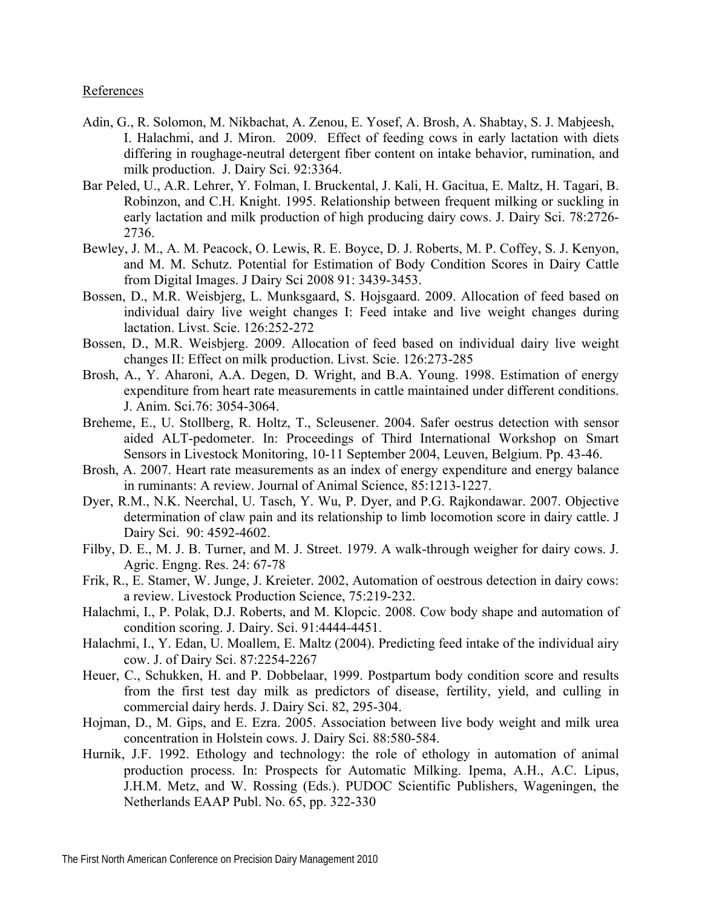## References

- Adin, G., R. Solomon, M. Nikbachat, A. Zenou, E. Yosef, A. Brosh, A. Shabtay, S. J. Mabjeesh, I. Halachmi, and J. Miron. 2009. Effect of feeding cows in early lactation with diets differing in roughage-neutral detergent fiber content on intake behavior, rumination, and milk production. J. Dairy Sci. 92:3364.
- Bar Peled, U., A.R. Lehrer, Y. Folman, I. Bruckental, J. Kali, H. Gacitua, E. Maltz, H. Tagari, B. Robinzon, and C.H. Knight. 1995. Relationship between frequent milking or suckling in early lactation and milk production of high producing dairy cows. J. Dairy Sci. 78:2726- 2736.
- Bewley, J. M., A. M. Peacock, O. Lewis, R. E. Boyce, D. J. Roberts, M. P. Coffey, S. J. Kenyon, and M. M. Schutz. Potential for Estimation of Body Condition Scores in Dairy Cattle from Digital Images. J Dairy Sci 2008 91: 3439-3453.
- Bossen, D., M.R. Weisbjerg, L. Munksgaard, S. Hojsgaard. 2009. Allocation of feed based on individual dairy live weight changes I: Feed intake and live weight changes during lactation. Livst. Scie. 126:252-272
- Bossen, D., M.R. Weisbjerg. 2009. Allocation of feed based on individual dairy live weight changes II: Effect on milk production. Livst. Scie. 126:273-285
- Brosh, A., Y. Aharoni, A.A. Degen, D. Wright, and B.A. Young. 1998. Estimation of energy expenditure from heart rate measurements in cattle maintained under different conditions. J. Anim. Sci.76: 3054-3064.
- Breheme, E., U. Stollberg, R. Holtz, T., Scleusener. 2004. Safer oestrus detection with sensor aided ALT-pedometer. In: Proceedings of Third International Workshop on Smart Sensors in Livestock Monitoring, 10-11 September 2004, Leuven, Belgium. Pp. 43-46.
- Brosh, A. 2007. Heart rate measurements as an index of energy expenditure and energy balance in ruminants: A review. Journal of Animal Science, 85:1213-1227.
- Dyer, R.M., N.K. Neerchal, U. Tasch, Y. Wu, P. Dyer, and P.G. Rajkondawar. 2007. Objective determination of claw pain and its relationship to limb locomotion score in dairy cattle. J Dairy Sci. 90: 4592-4602.
- Filby, D. E., M. J. B. Turner, and M. J. Street. 1979. A walk-through weigher for dairy cows. J. Agric. Engng. Res. 24: 67-78
- Frik, R., E. Stamer, W. Junge, J. Kreieter. 2002, Automation of oestrous detection in dairy cows: a review. Livestock Production Science, 75:219-232.
- Halachmi, I., P. Polak, D.J. Roberts, and M. Klopcic. 2008. Cow body shape and automation of condition scoring. J. Dairy. Sci. 91:4444-4451.
- Halachmi, I., Y. Edan, U. Moallem, E. Maltz (2004). Predicting feed intake of the individual airy cow. J. of Dairy Sci. 87:2254-2267
- Heuer, C., Schukken, H. and P. Dobbelaar, 1999. Postpartum body condition score and results from the first test day milk as predictors of disease, fertility, yield, and culling in commercial dairy herds. J. Dairy Sci. 82, 295-304.
- Hojman, D., M. Gips, and E. Ezra. 2005. Association between live body weight and milk urea concentration in Holstein cows. J. Dairy Sci. 88:580-584.
- Hurnik, J.F. 1992. Ethology and technology: the role of ethology in automation of animal production process. In: Prospects for Automatic Milking. Ipema, A.H., A.C. Lipus, J.H.M. Metz, and W. Rossing (Eds.). PUDOC Scientific Publishers, Wageningen, the Netherlands EAAP Publ. No. 65, pp. 322-330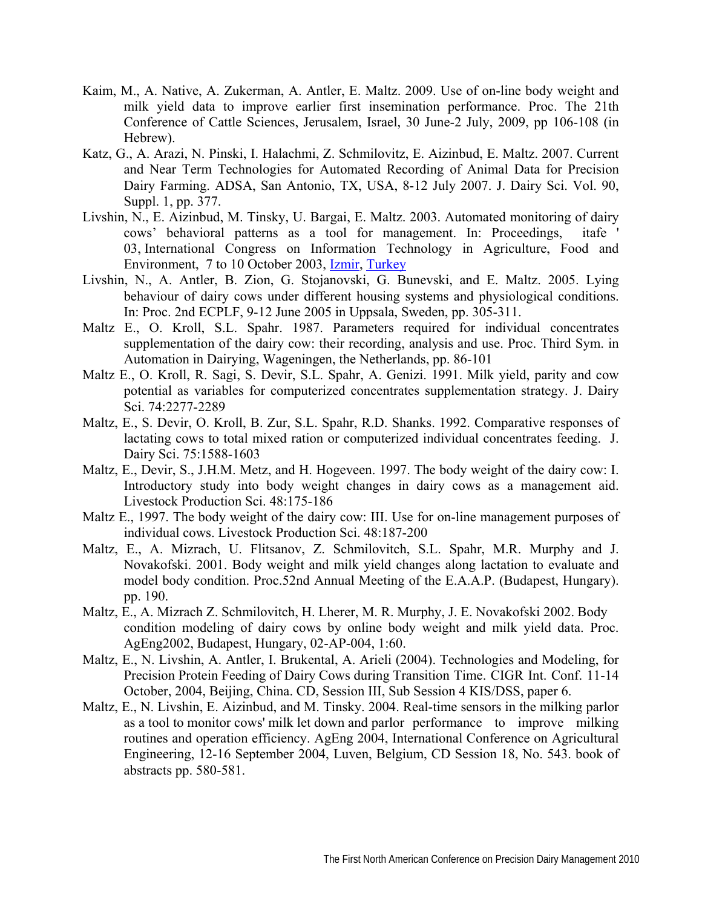- Kaim, M., A. Native, A. Zukerman, A. Antler, E. Maltz. 2009. Use of on-line body weight and milk yield data to improve earlier first insemination performance. Proc. The 21th Conference of Cattle Sciences, Jerusalem, Israel, 30 June-2 July, 2009, pp 106-108 (in Hebrew).
- Katz, G., A. Arazi, N. Pinski, I. Halachmi, Z. Schmilovitz, E. Aizinbud, E. Maltz. 2007. Current and Near Term Technologies for Automated Recording of Animal Data for Precision Dairy Farming. ADSA, San Antonio, TX, USA, 8-12 July 2007. J. Dairy Sci. Vol. 90, Suppl. 1, pp. 377.
- Livshin, N., E. Aizinbud, M. Tinsky, U. Bargai, E. Maltz. 2003. Automated monitoring of dairy cows' behavioral patterns as a tool for management. In: Proceedings, itafe ' 03, International Congress on Information Technology in Agriculture, Food and Environment, 7 to 10 October 2003, Izmir, Turkey
- Livshin, N., A. Antler, B. Zion, G. Stojanovski, G. Bunevski, and E. Maltz. 2005. Lying behaviour of dairy cows under different housing systems and physiological conditions. In: Proc. 2nd ECPLF, 9-12 June 2005 in Uppsala, Sweden, pp. 305-311.
- Maltz E., O. Kroll, S.L. Spahr. 1987. Parameters required for individual concentrates supplementation of the dairy cow: their recording, analysis and use. Proc. Third Sym. in Automation in Dairying, Wageningen, the Netherlands, pp. 86-101
- Maltz E., O. Kroll, R. Sagi, S. Devir, S.L. Spahr, A. Genizi. 1991. Milk yield, parity and cow potential as variables for computerized concentrates supplementation strategy. J. Dairy Sci. 74:2277-2289
- Maltz, E., S. Devir, O. Kroll, B. Zur, S.L. Spahr, R.D. Shanks. 1992. Comparative responses of lactating cows to total mixed ration or computerized individual concentrates feeding. J. Dairy Sci. 75:1588-1603
- Maltz, E., Devir, S., J.H.M. Metz, and H. Hogeveen. 1997. The body weight of the dairy cow: I. Introductory study into body weight changes in dairy cows as a management aid. Livestock Production Sci. 48:175-186
- Maltz E., 1997. The body weight of the dairy cow: III. Use for on-line management purposes of individual cows. Livestock Production Sci. 48:187-200
- Maltz, E., A. Mizrach, U. Flitsanov, Z. Schmilovitch, S.L. Spahr, M.R. Murphy and J. Novakofski. 2001. Body weight and milk yield changes along lactation to evaluate and model body condition. Proc.52nd Annual Meeting of the E.A.A.P. (Budapest, Hungary). pp. 190.
- Maltz, E., A. Mizrach Z. Schmilovitch, H. Lherer, M. R. Murphy, J. E. Novakofski 2002. Body condition modeling of dairy cows by online body weight and milk yield data. Proc. AgEng2002, Budapest, Hungary, 02-AP-004, 1:60.
- Maltz, E., N. Livshin, A. Antler, I. Brukental, A. Arieli (2004). Technologies and Modeling, for Precision Protein Feeding of Dairy Cows during Transition Time. CIGR Int. Conf. 11-14 October, 2004, Beijing, China. CD, Session III, Sub Session 4 KIS/DSS, paper 6.
- Maltz, E., N. Livshin, E. Aizinbud, and M. Tinsky. 2004. Real-time sensors in the milking parlor as a tool to monitor cows' milk let down and parlor performance to improve milking routines and operation efficiency. AgEng 2004, International Conference on Agricultural Engineering, 12-16 September 2004, Luven, Belgium, CD Session 18, No. 543. book of abstracts pp. 580-581.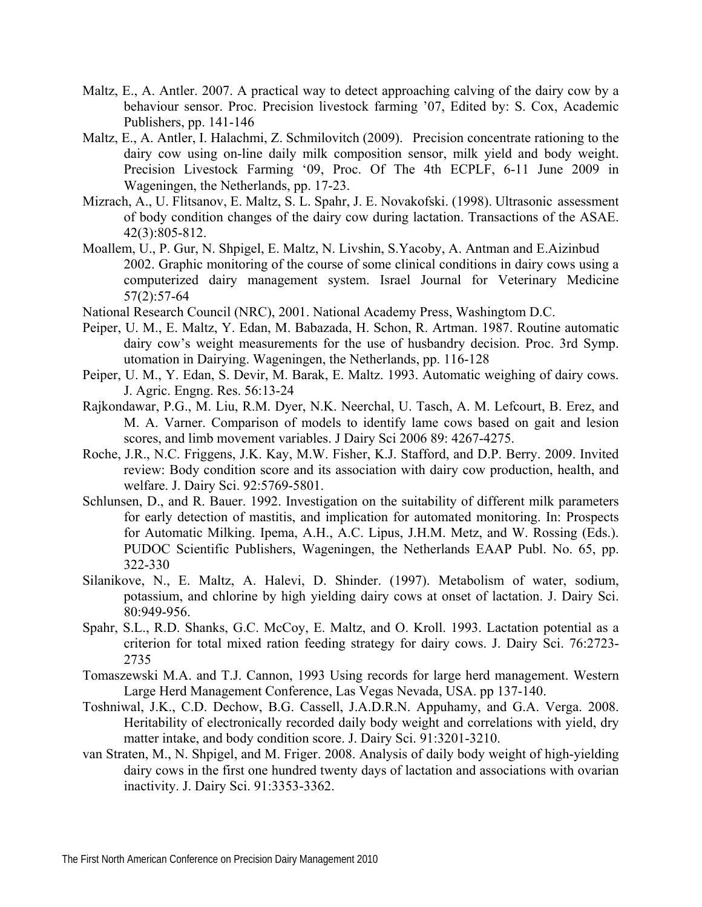- Maltz, E., A. Antler. 2007. A practical way to detect approaching calving of the dairy cow by a behaviour sensor. Proc. Precision livestock farming '07, Edited by: S. Cox, Academic Publishers, pp. 141-146
- Maltz, E., A. Antler, I. Halachmi, Z. Schmilovitch (2009). Precision concentrate rationing to the dairy cow using on-line daily milk composition sensor, milk yield and body weight. Precision Livestock Farming '09, Proc. Of The 4th ECPLF, 6-11 June 2009 in Wageningen, the Netherlands, pp. 17-23.
- Mizrach, A., U. Flitsanov, E. Maltz, S. L. Spahr, J. E. Novakofski. (1998). Ultrasonic assessment of body condition changes of the dairy cow during lactation. Transactions of the ASAE. 42(3):805-812.
- Moallem, U., P. Gur, N. Shpigel, E. Maltz, N. Livshin, S.Yacoby, A. Antman and E.Aizinbud 2002. Graphic monitoring of the course of some clinical conditions in dairy cows using a computerized dairy management system. Israel Journal for Veterinary Medicine 57(2):57-64
- National Research Council (NRC), 2001. National Academy Press, Washingtom D.C.
- Peiper, U. M., E. Maltz, Y. Edan, M. Babazada, H. Schon, R. Artman. 1987. Routine automatic dairy cow's weight measurements for the use of husbandry decision. Proc. 3rd Symp. utomation in Dairying. Wageningen, the Netherlands, pp. 116-128
- Peiper, U. M., Y. Edan, S. Devir, M. Barak, E. Maltz. 1993. Automatic weighing of dairy cows. J. Agric. Engng. Res. 56:13-24
- Rajkondawar, P.G., M. Liu, R.M. Dyer, N.K. Neerchal, U. Tasch, A. M. Lefcourt, B. Erez, and M. A. Varner. Comparison of models to identify lame cows based on gait and lesion scores, and limb movement variables. J Dairy Sci 2006 89: 4267-4275.
- Roche, J.R., N.C. Friggens, J.K. Kay, M.W. Fisher, K.J. Stafford, and D.P. Berry. 2009. Invited review: Body condition score and its association with dairy cow production, health, and welfare. J. Dairy Sci. 92:5769-5801.
- Schlunsen, D., and R. Bauer. 1992. Investigation on the suitability of different milk parameters for early detection of mastitis, and implication for automated monitoring. In: Prospects for Automatic Milking. Ipema, A.H., A.C. Lipus, J.H.M. Metz, and W. Rossing (Eds.). PUDOC Scientific Publishers, Wageningen, the Netherlands EAAP Publ. No. 65, pp. 322-330
- Silanikove, N., E. Maltz, A. Halevi, D. Shinder. (1997). Metabolism of water, sodium, potassium, and chlorine by high yielding dairy cows at onset of lactation. J. Dairy Sci. 80:949-956.
- Spahr, S.L., R.D. Shanks, G.C. McCoy, E. Maltz, and O. Kroll. 1993. Lactation potential as a criterion for total mixed ration feeding strategy for dairy cows. J. Dairy Sci. 76:2723- 2735
- Tomaszewski M.A. and T.J. Cannon, 1993 Using records for large herd management. Western Large Herd Management Conference, Las Vegas Nevada, USA. pp 137-140.
- Toshniwal, J.K., C.D. Dechow, B.G. Cassell, J.A.D.R.N. Appuhamy, and G.A. Verga. 2008. Heritability of electronically recorded daily body weight and correlations with yield, dry matter intake, and body condition score. J. Dairy Sci. 91:3201-3210.
- van Straten, M., N. Shpigel, and M. Friger. 2008. Analysis of daily body weight of high-yielding dairy cows in the first one hundred twenty days of lactation and associations with ovarian inactivity. J. Dairy Sci. 91:3353-3362.